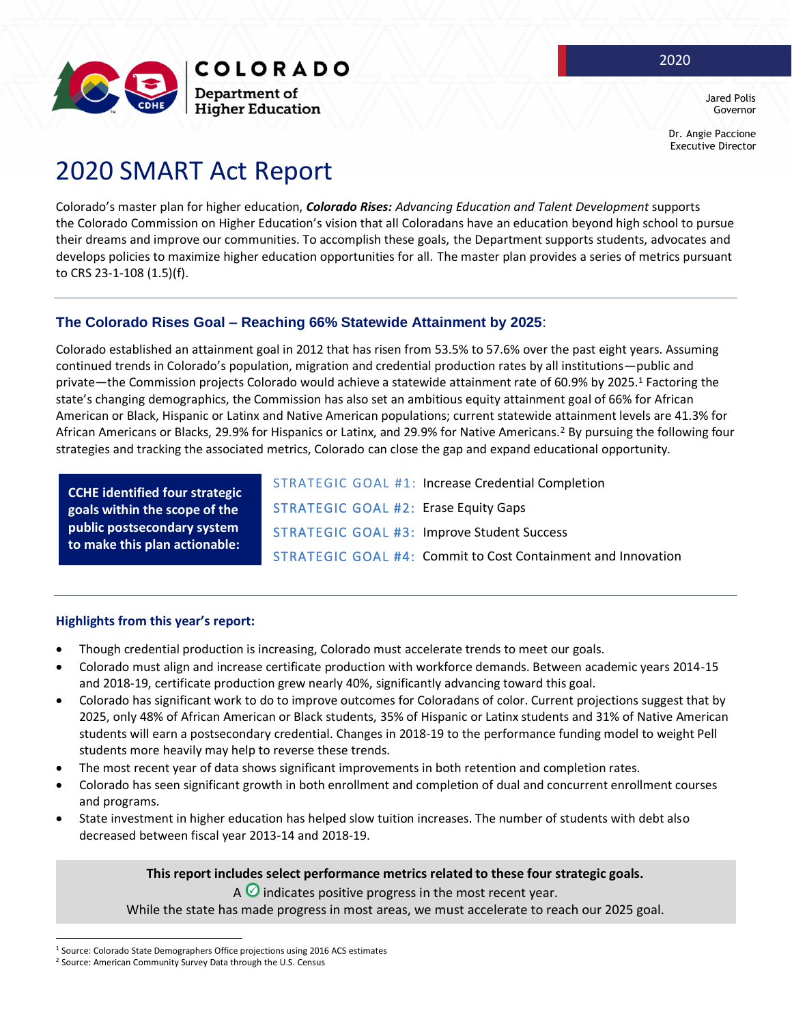

Dr. Angie Paccione Executive Director

2020

# 2020 SMART Act Report

Colorado's master plan for higher education, *Colorado Rises: Advancing Education and Talent Development* supports the Colorado Commission on Higher Education's vision that all Coloradans have an education beyond high school to pursue their dreams and improve our communities. To accomplish these goals, the Department supports students, advocates and develops policies to maximize higher education opportunities for all. The master plan provides a series of metrics pursuant to CRS 23-1-108 (1.5)(f).

## **The Colorado Rises Goal – Reaching 66% Statewide Attainment by 2025**:

Colorado established an attainment goal in 2012 that has risen from 53.5% to 57.6% over the past eight years. Assuming continued trends in Colorado's population, migration and credential production rates by all institutions—public and private—the Commission projects Colorado would achieve a statewide attainment rate of 60.9% by 2025.<sup>1</sup> Factoring the state's changing demographics, the Commission has also set an ambitious equity attainment goal of 66% for African American or Black, Hispanic or Latinx and Native American populations; current statewide attainment levels are 41.3% for African Americans or Blacks, 29.9% for Hispanics or Latinx, and 29.9% for Native Americans.<sup>2</sup> By pursuing the following four strategies and tracking the associated metrics, Colorado can close the gap and expand educational opportunity.

**CCHE identified four strategic goals within the scope of the public postsecondary system to make this plan actionable:**

STRATEGIC GOAL #1: Increase Credential Completion STRATEGIC GOAL #2: Erase Equity Gaps STRATEGIC GOAL #3: Improve Student Success STRATEGIC GOAL #4: Commit to Cost Containment and Innovation

#### **Highlights from this year's report:**

- Though credential production is increasing, Colorado must accelerate trends to meet our goals.
- Colorado must align and increase certificate production with workforce demands. Between academic years 2014-15 and 2018-19, certificate production grew nearly 40%, significantly advancing toward this goal.
- Colorado has significant work to do to improve outcomes for Coloradans of color. Current projections suggest that by 2025, only 48% of African American or Black students, 35% of Hispanic or Latinx students and 31% of Native American students will earn a postsecondary credential. Changes in 2018-19 to the performance funding model to weight Pell students more heavily may help to reverse these trends.
- The most recent year of data shows significant improvements in both retention and completion rates.
- Colorado has seen significant growth in both enrollment and completion of dual and concurrent enrollment courses and programs.
- State investment in higher education has helped slow tuition increases. The number of students with debt also decreased between fiscal year 2013-14 and 2018-19.

**This report includes select performance metrics related to these four strategic goals.**

A  $\bullet$  indicates positive progress in the most recent year.

While the state has made progress in most areas, we must accelerate to reach our 2025 goal.

<sup>&</sup>lt;sup>1</sup> Source: Colorado State Demographers Office projections using 2016 ACS estimates

<sup>2</sup> Source: American Community Survey Data through the U.S. Census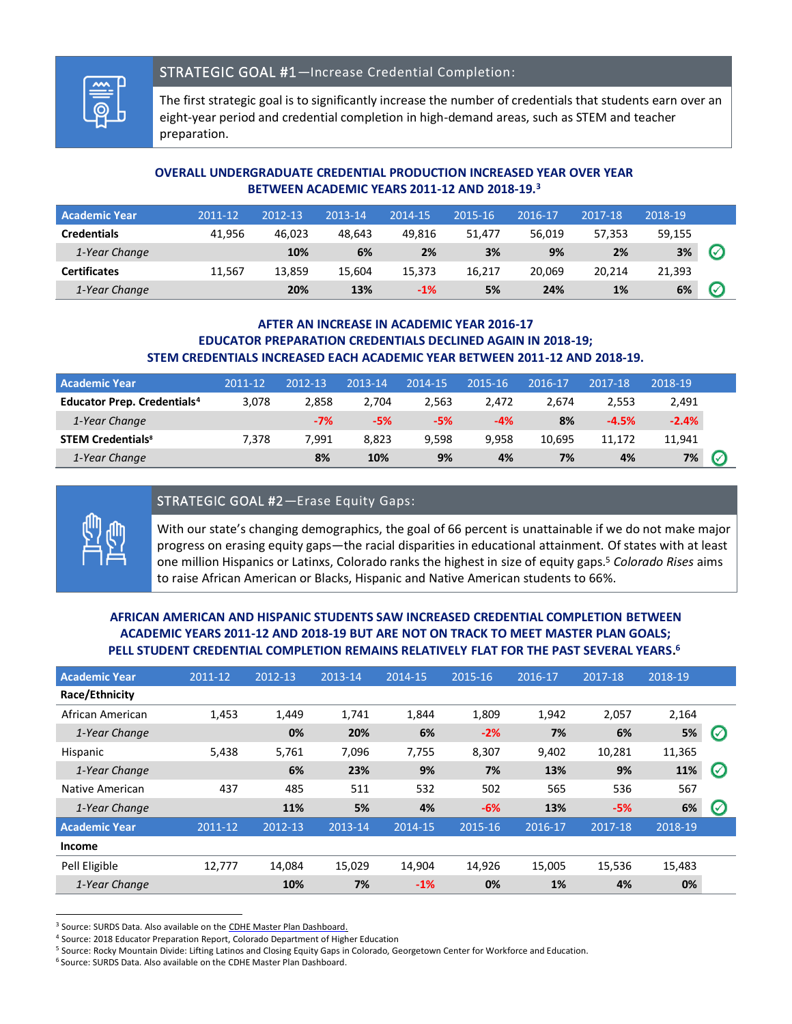

## STRATEGIC GOAL #1—Increase Credential Completion:

The first strategic goal is to significantly increase the number of credentials that students earn over an eight-year period and credential completion in high-demand areas, such as STEM and teacher preparation.

#### **OVERALL UNDERGRADUATE CREDENTIAL PRODUCTION INCREASED YEAR OVER YEAR BETWEEN ACADEMIC YEARS 2011-12 AND 2018-19.<sup>3</sup>**

| <b>Academic Year</b> | 2011-12 | 2012-13 | 2013-14 | 2014-15 | 2015-16 | 2016-17 | 2017-18 | 2018-19 |                            |
|----------------------|---------|---------|---------|---------|---------|---------|---------|---------|----------------------------|
| <b>Credentials</b>   | 41.956  | 46.023  | 48.643  | 49.816  | 51.477  | 56.019  | 57.353  | 59,155  |                            |
| 1-Year Change        |         | 10%     | 6%      | 2%      | 3%      | 9%      | 2%      | 3%      | $\boldsymbol{\mathcal{C}}$ |
| <b>Certificates</b>  | 11.567  | 13,859  | 15.604  | 15,373  | 16.217  | 20.069  | 20.214  | 21,393  |                            |
| 1-Year Change        |         | 20%     | 13%     | $-1\%$  | 5%      | 24%     | 1%      | 6%      | $\boldsymbol{C}$           |

#### **AFTER AN INCREASE IN ACADEMIC YEAR 2016-17 EDUCATOR PREPARATION CREDENTIALS DECLINED AGAIN IN 2018-19; STEM CREDENTIALS INCREASED EACH ACADEMIC YEAR BETWEEN 2011-12 AND 2018-19.**

| <b>Academic Year</b>                          | $2011 - 12$ | 2012-13 | 2013-14 | 2014-15 | 2015-16 | 2016-17 | 2017-18 | 2018-19 |               |
|-----------------------------------------------|-------------|---------|---------|---------|---------|---------|---------|---------|---------------|
| <b>Educator Prep. Credentials<sup>4</sup></b> | 3.078       | 2.858   | 2.704   | 2.563   | 2.472   | 2.674   | 2.553   | 2,491   |               |
| 1-Year Change                                 |             | $-7%$   | $-5%$   | $-5%$   | $-4%$   | 8%      | $-4.5%$ | $-2.4%$ |               |
| <b>STEM Credentials<sup>8</sup></b>           | 7.378       | 7.991   | 8.823   | 9.598   | 9.958   | 10.695  | 11.172  | 11,941  |               |
| 1-Year Change                                 |             | 8%      | 10%     | 9%      | 4%      | 7%      | 4%      | 7%      | $\varnothing$ |

#### STRATEGIC GOAL #2—Erase Equity Gaps:



With our state's changing demographics, the goal of 66 percent is unattainable if we do not make major progress on erasing equity gaps—the racial disparities in educational attainment. Of states with at least one million Hispanics or Latinxs, Colorado ranks the highest in size of equity gaps.<sup>5</sup> *Colorado Rises* aims to raise African American or Blacks, Hispanic and Native American students to 66%.

#### **AFRICAN AMERICAN AND HISPANIC STUDENTS SAW INCREASED CREDENTIAL COMPLETION BETWEEN ACADEMIC YEARS 2011-12 AND 2018-19 BUT ARE NOT ON TRACK TO MEET MASTER PLAN GOALS; PELL STUDENT CREDENTIAL COMPLETION REMAINS RELATIVELY FLAT FOR THE PAST SEVERAL YEARS. 6**

| <b>Academic Year</b> | 2011-12 | 2012-13 | 2013-14 | 2014-15 | 2015-16 | 2016-17 | 2017-18 | 2018-19 |                    |
|----------------------|---------|---------|---------|---------|---------|---------|---------|---------|--------------------|
| Race/Ethnicity       |         |         |         |         |         |         |         |         |                    |
| African American     | 1,453   | 1,449   | 1,741   | 1,844   | 1,809   | 1,942   | 2,057   | 2,164   |                    |
| 1-Year Change        |         | 0%      | 20%     | 6%      | $-2%$   | 7%      | 6%      | 5%      | $\oslash$          |
| Hispanic             | 5,438   | 5,761   | 7,096   | 7,755   | 8,307   | 9,402   | 10,281  | 11,365  |                    |
| 1-Year Change        |         | 6%      | 23%     | 9%      | 7%      | 13%     | 9%      | 11%     | $\bm{\varnothing}$ |
| Native American      | 437     | 485     | 511     | 532     | 502     | 565     | 536     | 567     |                    |
| 1-Year Change        |         | 11%     | 5%      | 4%      | $-6%$   | 13%     | $-5%$   | 6%      | $\bm{\varnothing}$ |
| <b>Academic Year</b> | 2011-12 | 2012-13 | 2013-14 | 2014-15 | 2015-16 | 2016-17 | 2017-18 | 2018-19 |                    |
| <b>Income</b>        |         |         |         |         |         |         |         |         |                    |
| Pell Eligible        | 12,777  | 14,084  | 15,029  | 14,904  | 14,926  | 15,005  | 15,536  | 15,483  |                    |
| 1-Year Change        |         | 10%     | 7%      | $-1%$   | 0%      | 1%      | 4%      | 0%      |                    |

<sup>&</sup>lt;sup>3</sup> Source: SURDS Data. Also available on th[e CDHE Master Plan Dashboard.](http://masterplan.highered.colorado.gov/dashboard/)

<sup>4</sup> Source: 2018 Educator Preparation Report, Colorado Department of Higher Education

<sup>5</sup> Source: Rocky Mountain Divide: Lifting Latinos and Closing Equity Gaps in Colorado, Georgetown Center for Workforce and Education.

<sup>6</sup> Source: SURDS Data. Also available on th[e CDHE Master Plan Dashboard.](http://masterplan.highered.colorado.gov/dashboard/)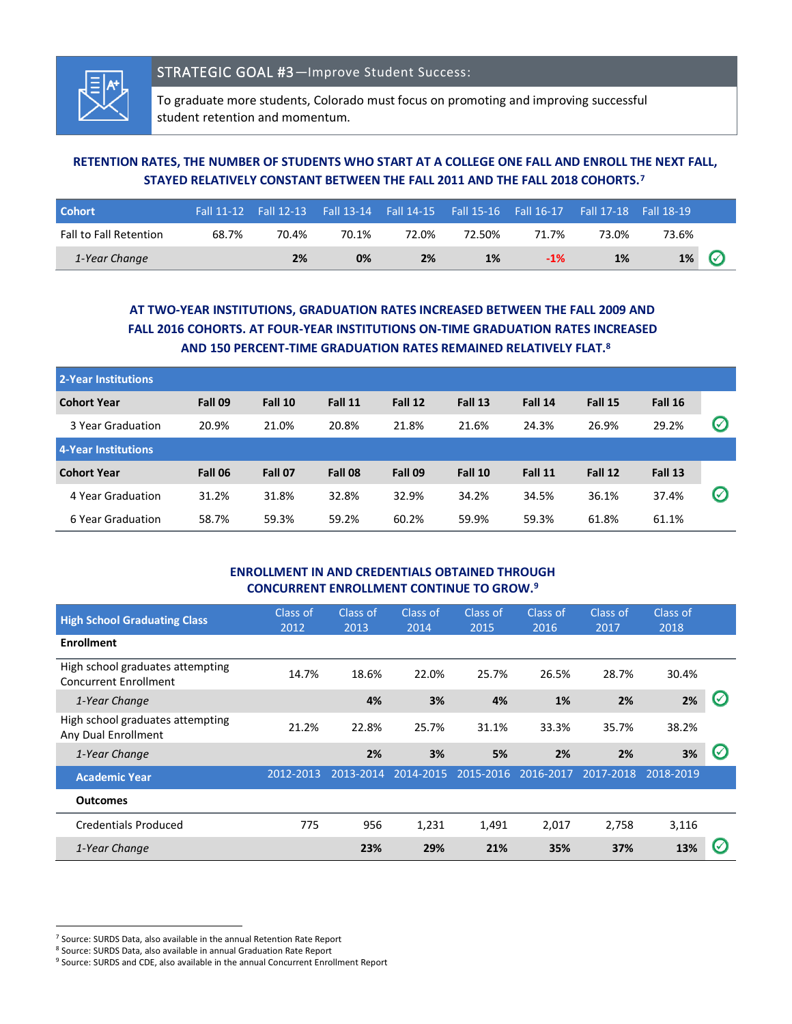

To graduate more students, Colorado must focus on promoting and improving successful student retention and momentum.

## **RETENTION RATES, THE NUMBER OF STUDENTS WHO START AT A COLLEGE ONE FALL AND ENROLL THE NEXT FALL, STAYED RELATIVELY CONSTANT BETWEEN THE FALL 2011 AND THE FALL 2018 COHORTS.<sup>7</sup>**

| <b>Cohort</b>                 |       |       |       |       |        | Fall 11-12 Fall 12-13 Fall 13-14 Fall 14-15 Fall 15-16 Fall 16-17 Fall 17-18 Fall 18-19 |       |       |              |
|-------------------------------|-------|-------|-------|-------|--------|-----------------------------------------------------------------------------------------|-------|-------|--------------|
| <b>Fall to Fall Retention</b> | 68.7% | 70.4% | 70.1% | 72.0% | 72.50% | 71.7%                                                                                   | 73.0% | 73.6% |              |
| 1-Year Change                 |       | 2%    | 0%    | 2%    | 1%     | $-1%$                                                                                   | 1%    | 1%    | $\checkmark$ |

## **AT TWO-YEAR INSTITUTIONS, GRADUATION RATES INCREASED BETWEEN THE FALL 2009 AND FALL 2016 COHORTS. AT FOUR-YEAR INSTITUTIONS ON-TIME GRADUATION RATES INCREASED AND 150 PERCENT-TIME GRADUATION RATES REMAINED RELATIVELY FLAT.<sup>8</sup>**

| 2-Year Institutions |         |         |         |         |         |         |         |         |               |
|---------------------|---------|---------|---------|---------|---------|---------|---------|---------|---------------|
| <b>Cohort Year</b>  | Fall 09 | Fall 10 | Fall 11 | Fall 12 | Fall 13 | Fall 14 | Fall 15 | Fall 16 |               |
| 3 Year Graduation   | 20.9%   | 21.0%   | 20.8%   | 21.8%   | 21.6%   | 24.3%   | 26.9%   | 29.2%   | $\varnothing$ |
| 4-Year Institutions |         |         |         |         |         |         |         |         |               |
| <b>Cohort Year</b>  | Fall 06 | Fall 07 | Fall 08 | Fall 09 | Fall 10 | Fall 11 | Fall 12 | Fall 13 |               |
| 4 Year Graduation   | 31.2%   | 31.8%   | 32.8%   | 32.9%   | 34.2%   | 34.5%   | 36.1%   | 37.4%   | $\varnothing$ |
| 6 Year Graduation   | 58.7%   | 59.3%   | 59.2%   | 60.2%   | 59.9%   | 59.3%   | 61.8%   | 61.1%   |               |

#### **ENROLLMENT IN AND CREDENTIALS OBTAINED THROUGH CONCURRENT ENROLLMENT CONTINUE TO GROW.<sup>9</sup>**

| <b>High School Graduating Class</b>                              | Class of<br>2012 | Class of<br>2013 | Class of<br>2014 | Class of<br>2015    | Class of<br>2016 | Class of<br>2017 | Class of<br>2018 |   |
|------------------------------------------------------------------|------------------|------------------|------------------|---------------------|------------------|------------------|------------------|---|
| <b>Enrollment</b>                                                |                  |                  |                  |                     |                  |                  |                  |   |
| High school graduates attempting<br><b>Concurrent Enrollment</b> | 14.7%            | 18.6%            | 22.0%            | 25.7%               | 26.5%            | 28.7%            | 30.4%            |   |
| 1-Year Change                                                    |                  | 4%               | 3%               | 4%                  | 1%               | 2%               | 2%               | V |
| High school graduates attempting<br>Any Dual Enrollment          | 21.2%            | 22.8%            | 25.7%            | 31.1%               | 33.3%            | 35.7%            | 38.2%            |   |
| 1-Year Change                                                    |                  | 2%               | 3%               | 5%                  | 2%               | 2%               | 3%               | い |
| <b>Academic Year</b>                                             | 2012-2013        | 2013-2014        |                  | 2014-2015 2015-2016 | 2016-2017        | 2017-2018        | 2018-2019        |   |
| <b>Outcomes</b>                                                  |                  |                  |                  |                     |                  |                  |                  |   |
| <b>Credentials Produced</b>                                      | 775              | 956              | 1,231            | 1,491               | 2,017            | 2,758            | 3,116            |   |
| 1-Year Change                                                    |                  | 23%              | 29%              | 21%                 | 35%              | 37%              | 13%              | い |

<sup>7</sup> Source: SURDS Data, also available in the annual Retention Rate Report

<sup>8</sup> Source: SURDS Data, also available in annual Graduation Rate Report

<sup>&</sup>lt;sup>9</sup> Source: SURDS and CDE, also available in the annual Concurrent Enrollment Report